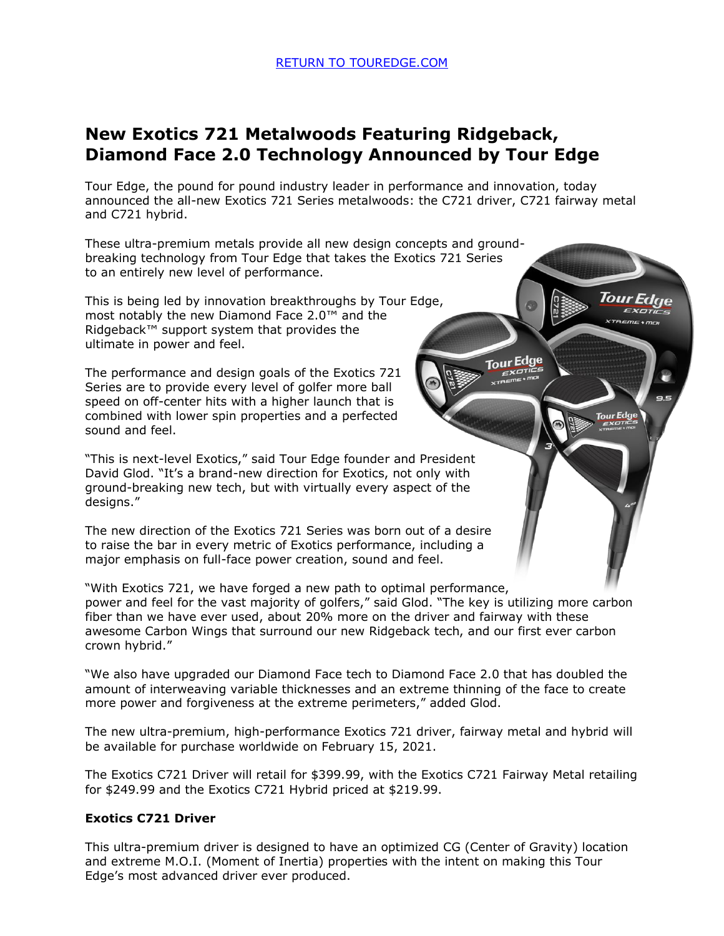# **New Exotics 721 Metalwoods Featuring Ridgeback, Diamond Face 2.0 Technology Announced by Tour Edge**

Tour Edge, the pound for pound industry leader in performance and innovation, today announced the all-new Exotics 721 Series metalwoods: the C721 driver, C721 fairway metal and C721 hybrid.

Tour Edge

**Tour Edge** 

These ultra-premium metals provide all new design concepts and groundbreaking technology from Tour Edge that takes the Exotics 721 Series to an entirely new level of performance.

This is being led by innovation breakthroughs by Tour Edge, most notably the new Diamond Face 2.0™ and the Ridgeback™ support system that provides the ultimate in power and feel.

The performance and design goals of the Exotics 721 Series are to provide every level of golfer more ball speed on off-center hits with a higher launch that is combined with lower spin properties and a perfected sound and feel.

"This is next-level Exotics," said Tour Edge founder and President David Glod. "It's a brand-new direction for Exotics, not only with ground-breaking new tech, but with virtually every aspect of the designs."

The new direction of the Exotics 721 Series was born out of a desire to raise the bar in every metric of Exotics performance, including a major emphasis on full-face power creation, sound and feel.

"With Exotics 721, we have forged a new path to optimal performance, power and feel for the vast majority of golfers," said Glod. "The key is utilizing more carbon fiber than we have ever used, about 20% more on the driver and fairway with these awesome Carbon Wings that surround our new Ridgeback tech, and our first ever carbon crown hybrid."

"We also have upgraded our Diamond Face tech to Diamond Face 2.0 that has doubled the amount of interweaving variable thicknesses and an extreme thinning of the face to create more power and forgiveness at the extreme perimeters," added Glod.

The new ultra-premium, high-performance Exotics 721 driver, fairway metal and hybrid will be available for purchase worldwide on February 15, 2021.

The Exotics C721 Driver will retail for \$399.99, with the Exotics C721 Fairway Metal retailing for \$249.99 and the Exotics C721 Hybrid priced at \$219.99.

## **Exotics C721 Driver**

This ultra-premium driver is designed to have an optimized CG (Center of Gravity) location and extreme M.O.I. (Moment of Inertia) properties with the intent on making this Tour Edge's most advanced driver ever produced.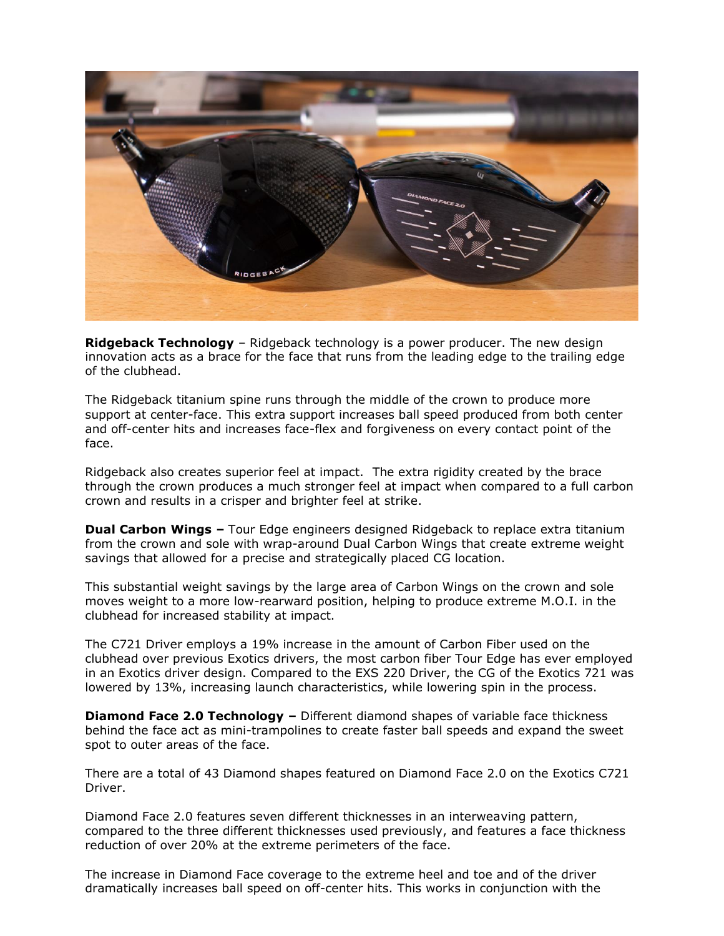

**Ridgeback Technology** – Ridgeback technology is a power producer. The new design innovation acts as a brace for the face that runs from the leading edge to the trailing edge of the clubhead.

The Ridgeback titanium spine runs through the middle of the crown to produce more support at center-face. This extra support increases ball speed produced from both center and off-center hits and increases face-flex and forgiveness on every contact point of the face.

Ridgeback also creates superior feel at impact. The extra rigidity created by the brace through the crown produces a much stronger feel at impact when compared to a full carbon crown and results in a crisper and brighter feel at strike.

**Dual Carbon Wings –** Tour Edge engineers designed Ridgeback to replace extra titanium from the crown and sole with wrap-around Dual Carbon Wings that create extreme weight savings that allowed for a precise and strategically placed CG location.

This substantial weight savings by the large area of Carbon Wings on the crown and sole moves weight to a more low-rearward position, helping to produce extreme M.O.I. in the clubhead for increased stability at impact.

The C721 Driver employs a 19% increase in the amount of Carbon Fiber used on the clubhead over previous Exotics drivers, the most carbon fiber Tour Edge has ever employed in an Exotics driver design. Compared to the EXS 220 Driver, the CG of the Exotics 721 was lowered by 13%, increasing launch characteristics, while lowering spin in the process.

**Diamond Face 2.0 Technology –** Different diamond shapes of variable face thickness behind the face act as mini-trampolines to create faster ball speeds and expand the sweet spot to outer areas of the face.

There are a total of 43 Diamond shapes featured on Diamond Face 2.0 on the Exotics C721 Driver.

Diamond Face 2.0 features seven different thicknesses in an interweaving pattern, compared to the three different thicknesses used previously, and features a face thickness reduction of over 20% at the extreme perimeters of the face.

The increase in Diamond Face coverage to the extreme heel and toe and of the driver dramatically increases ball speed on off-center hits. This works in conjunction with the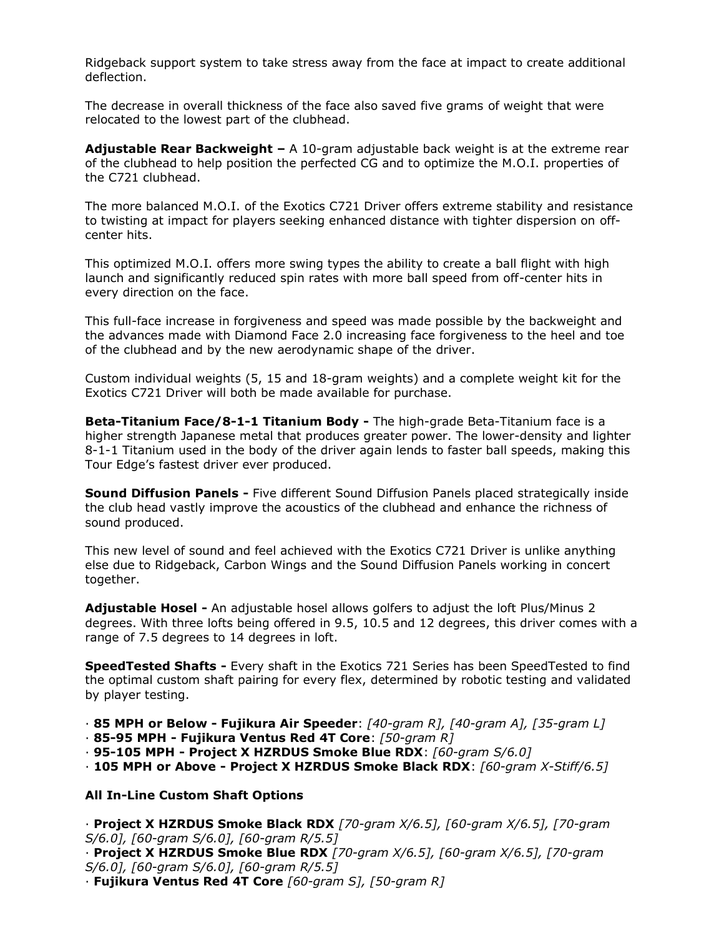Ridgeback support system to take stress away from the face at impact to create additional deflection.

The decrease in overall thickness of the face also saved five grams of weight that were relocated to the lowest part of the clubhead.

**Adjustable Rear Backweight –** A 10-gram adjustable back weight is at the extreme rear of the clubhead to help position the perfected CG and to optimize the M.O.I. properties of the C721 clubhead.

The more balanced M.O.I. of the Exotics C721 Driver offers extreme stability and resistance to twisting at impact for players seeking enhanced distance with tighter dispersion on offcenter hits.

This optimized M.O.I. offers more swing types the ability to create a ball flight with high launch and significantly reduced spin rates with more ball speed from off-center hits in every direction on the face.

This full-face increase in forgiveness and speed was made possible by the backweight and the advances made with Diamond Face 2.0 increasing face forgiveness to the heel and toe of the clubhead and by the new aerodynamic shape of the driver.

Custom individual weights (5, 15 and 18-gram weights) and a complete weight kit for the Exotics C721 Driver will both be made available for purchase.

**Beta-Titanium Face/8-1-1 Titanium Body -** The high-grade Beta-Titanium face is a higher strength Japanese metal that produces greater power. The lower-density and lighter 8-1-1 Titanium used in the body of the driver again lends to faster ball speeds, making this Tour Edge's fastest driver ever produced.

**Sound Diffusion Panels -** Five different Sound Diffusion Panels placed strategically inside the club head vastly improve the acoustics of the clubhead and enhance the richness of sound produced.

This new level of sound and feel achieved with the Exotics C721 Driver is unlike anything else due to Ridgeback, Carbon Wings and the Sound Diffusion Panels working in concert together.

**Adjustable Hosel -** An adjustable hosel allows golfers to adjust the loft Plus/Minus 2 degrees. With three lofts being offered in 9.5, 10.5 and 12 degrees, this driver comes with a range of 7.5 degrees to 14 degrees in loft.

**SpeedTested Shafts -** Every shaft in the Exotics 721 Series has been SpeedTested to find the optimal custom shaft pairing for every flex, determined by robotic testing and validated by player testing.

· **85 MPH or Below - Fujikura Air Speeder**: *[40-gram R], [40-gram A], [35-gram L]*

- · **85-95 MPH - Fujikura Ventus Red 4T Core**: *[50-gram R]*
- · **95-105 MPH - Project X HZRDUS Smoke Blue RDX**: *[60-gram S/6.0]*

· **105 MPH or Above - Project X HZRDUS Smoke Black RDX**: *[60-gram X-Stiff/6.5]*

#### **All In-Line Custom Shaft Options**

· **Project X HZRDUS Smoke Black RDX** *[70-gram X/6.5], [60-gram X/6.5], [70-gram S/6.0], [60-gram S/6.0], [60-gram R/5.5]*

· **Project X HZRDUS Smoke Blue RDX** *[70-gram X/6.5], [60-gram X/6.5], [70-gram S/6.0], [60-gram S/6.0], [60-gram R/5.5]*

· **Fujikura Ventus Red 4T Core** *[60-gram S], [50-gram R]*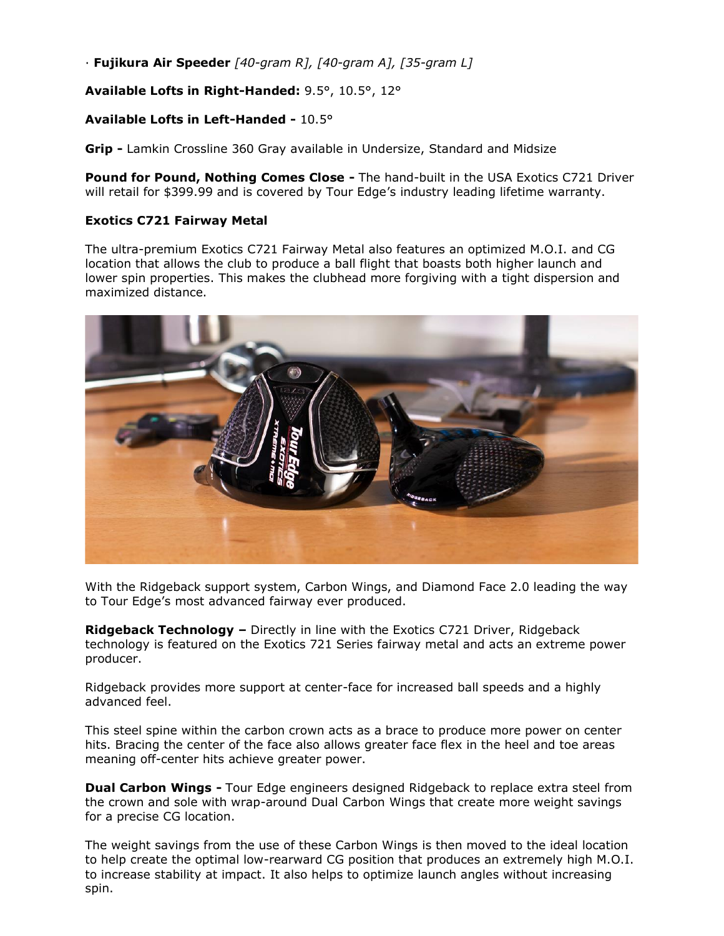· **Fujikura Air Speeder** *[40-gram R], [40-gram A], [35-gram L]*

**Available Lofts in Right-Handed:** 9.5°, 10.5°, 12°

# **Available Lofts in Left-Handed -** 10.5°

**Grip -** Lamkin Crossline 360 Gray available in Undersize, Standard and Midsize

**Pound for Pound, Nothing Comes Close -** The hand-built in the USA Exotics C721 Driver will retail for \$399.99 and is covered by Tour Edge's industry leading lifetime warranty.

## **Exotics C721 Fairway Metal**

The ultra-premium Exotics C721 Fairway Metal also features an optimized M.O.I. and CG location that allows the club to produce a ball flight that boasts both higher launch and lower spin properties. This makes the clubhead more forgiving with a tight dispersion and maximized distance.



With the Ridgeback support system, Carbon Wings, and Diamond Face 2.0 leading the way to Tour Edge's most advanced fairway ever produced.

**Ridgeback Technology –** Directly in line with the Exotics C721 Driver, Ridgeback technology is featured on the Exotics 721 Series fairway metal and acts an extreme power producer.

Ridgeback provides more support at center-face for increased ball speeds and a highly advanced feel.

This steel spine within the carbon crown acts as a brace to produce more power on center hits. Bracing the center of the face also allows greater face flex in the heel and toe areas meaning off-center hits achieve greater power.

**Dual Carbon Wings -** Tour Edge engineers designed Ridgeback to replace extra steel from the crown and sole with wrap-around Dual Carbon Wings that create more weight savings for a precise CG location.

The weight savings from the use of these Carbon Wings is then moved to the ideal location to help create the optimal low-rearward CG position that produces an extremely high M.O.I. to increase stability at impact. It also helps to optimize launch angles without increasing spin.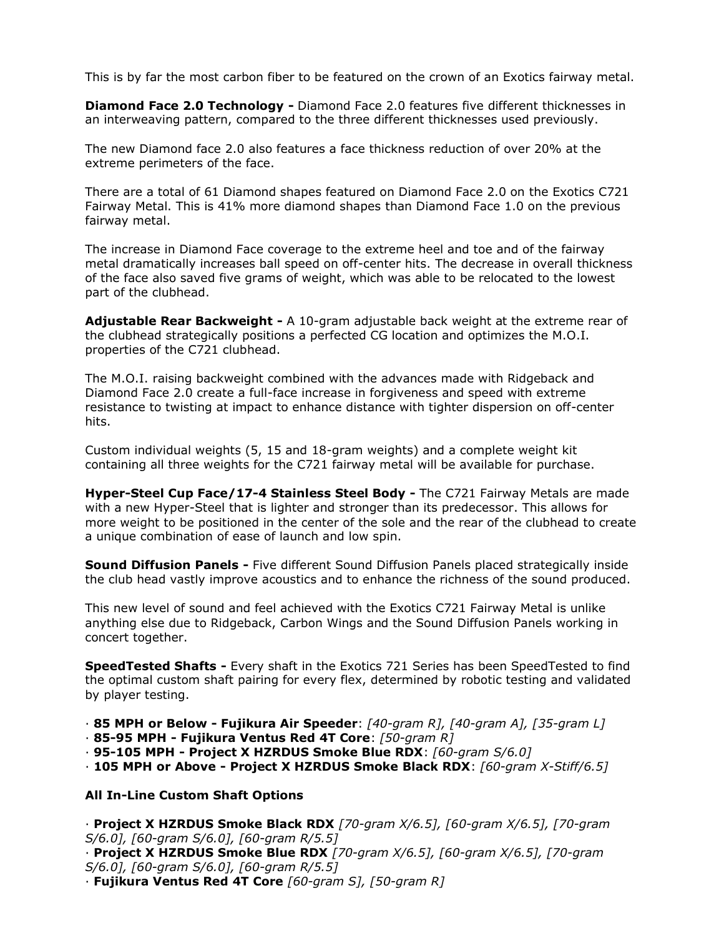This is by far the most carbon fiber to be featured on the crown of an Exotics fairway metal.

**Diamond Face 2.0 Technology -** Diamond Face 2.0 features five different thicknesses in an interweaving pattern, compared to the three different thicknesses used previously.

The new Diamond face 2.0 also features a face thickness reduction of over 20% at the extreme perimeters of the face.

There are a total of 61 Diamond shapes featured on Diamond Face 2.0 on the Exotics C721 Fairway Metal. This is 41% more diamond shapes than Diamond Face 1.0 on the previous fairway metal.

The increase in Diamond Face coverage to the extreme heel and toe and of the fairway metal dramatically increases ball speed on off-center hits. The decrease in overall thickness of the face also saved five grams of weight, which was able to be relocated to the lowest part of the clubhead.

**Adjustable Rear Backweight -** A 10-gram adjustable back weight at the extreme rear of the clubhead strategically positions a perfected CG location and optimizes the M.O.I. properties of the C721 clubhead.

The M.O.I. raising backweight combined with the advances made with Ridgeback and Diamond Face 2.0 create a full-face increase in forgiveness and speed with extreme resistance to twisting at impact to enhance distance with tighter dispersion on off-center hits.

Custom individual weights (5, 15 and 18-gram weights) and a complete weight kit containing all three weights for the C721 fairway metal will be available for purchase.

**Hyper-Steel Cup Face/17-4 Stainless Steel Body -** The C721 Fairway Metals are made with a new Hyper-Steel that is lighter and stronger than its predecessor. This allows for more weight to be positioned in the center of the sole and the rear of the clubhead to create a unique combination of ease of launch and low spin.

**Sound Diffusion Panels -** Five different Sound Diffusion Panels placed strategically inside the club head vastly improve acoustics and to enhance the richness of the sound produced.

This new level of sound and feel achieved with the Exotics C721 Fairway Metal is unlike anything else due to Ridgeback, Carbon Wings and the Sound Diffusion Panels working in concert together.

**SpeedTested Shafts -** Every shaft in the Exotics 721 Series has been SpeedTested to find the optimal custom shaft pairing for every flex, determined by robotic testing and validated by player testing.

· **85 MPH or Below - Fujikura Air Speeder**: *[40-gram R], [40-gram A], [35-gram L]*

- · **85-95 MPH - Fujikura Ventus Red 4T Core**: *[50-gram R]*
- · **95-105 MPH - Project X HZRDUS Smoke Blue RDX**: *[60-gram S/6.0]*

· **105 MPH or Above - Project X HZRDUS Smoke Black RDX**: *[60-gram X-Stiff/6.5]*

#### **All In-Line Custom Shaft Options**

· **Project X HZRDUS Smoke Black RDX** *[70-gram X/6.5], [60-gram X/6.5], [70-gram S/6.0], [60-gram S/6.0], [60-gram R/5.5]*

· **Project X HZRDUS Smoke Blue RDX** *[70-gram X/6.5], [60-gram X/6.5], [70-gram S/6.0], [60-gram S/6.0], [60-gram R/5.5]*

· **Fujikura Ventus Red 4T Core** *[60-gram S], [50-gram R]*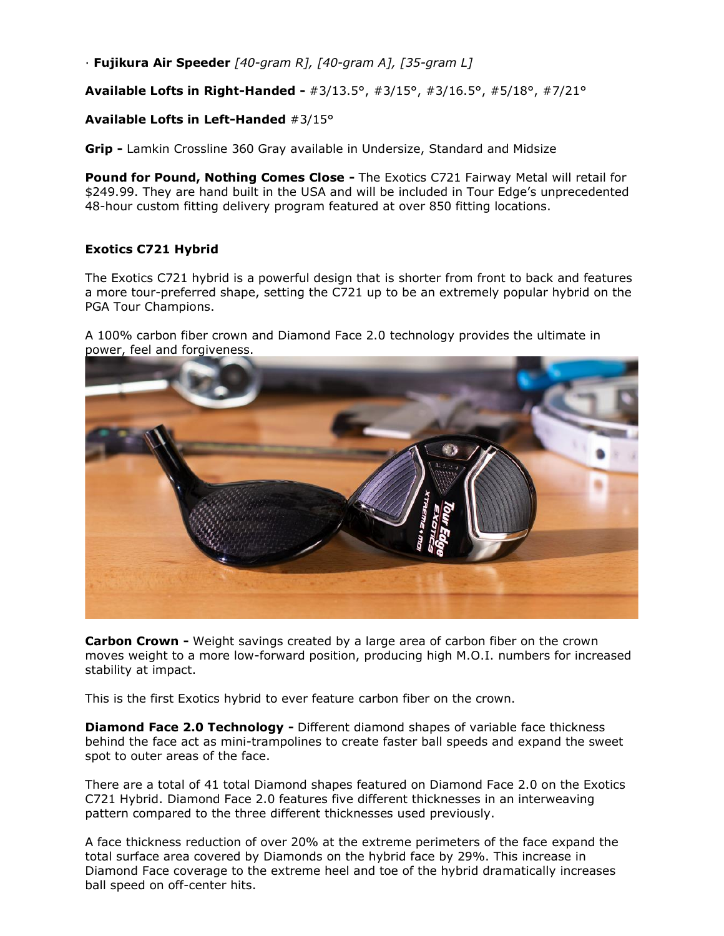· **Fujikura Air Speeder** *[40-gram R], [40-gram A], [35-gram L]*

**Available Lofts in Right-Handed -** #3/13.5°, #3/15°, #3/16.5°, #5/18°, #7/21°

## **Available Lofts in Left-Handed** #3/15°

**Grip -** Lamkin Crossline 360 Gray available in Undersize, Standard and Midsize

**Pound for Pound, Nothing Comes Close -** The Exotics C721 Fairway Metal will retail for \$249.99. They are hand built in the USA and will be included in Tour Edge's unprecedented 48-hour custom fitting delivery program featured at over 850 fitting locations.

## **Exotics C721 Hybrid**

The Exotics C721 hybrid is a powerful design that is shorter from front to back and features a more tour-preferred shape, setting the C721 up to be an extremely popular hybrid on the PGA Tour Champions.

A 100% carbon fiber crown and Diamond Face 2.0 technology provides the ultimate in power, feel and forgiveness.



**Carbon Crown -** Weight savings created by a large area of carbon fiber on the crown moves weight to a more low-forward position, producing high M.O.I. numbers for increased stability at impact.

This is the first Exotics hybrid to ever feature carbon fiber on the crown.

**Diamond Face 2.0 Technology -** Different diamond shapes of variable face thickness behind the face act as mini-trampolines to create faster ball speeds and expand the sweet spot to outer areas of the face.

There are a total of 41 total Diamond shapes featured on Diamond Face 2.0 on the Exotics C721 Hybrid. Diamond Face 2.0 features five different thicknesses in an interweaving pattern compared to the three different thicknesses used previously.

A face thickness reduction of over 20% at the extreme perimeters of the face expand the total surface area covered by Diamonds on the hybrid face by 29%. This increase in Diamond Face coverage to the extreme heel and toe of the hybrid dramatically increases ball speed on off-center hits.